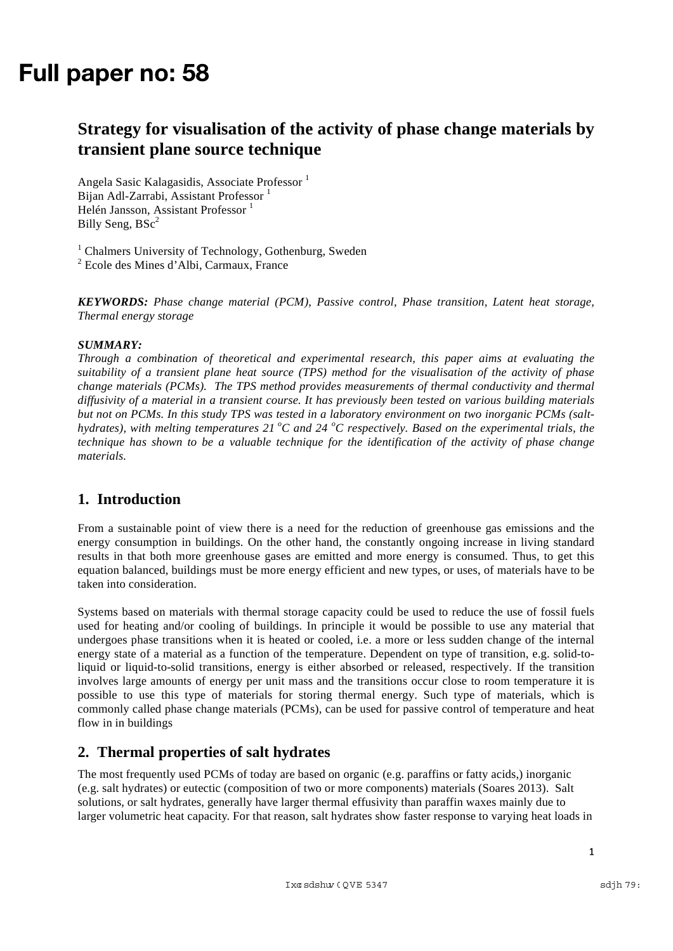# Full paper no: 58

# **Strategy for visualisation of the activity of phase change materials by transient plane source technique**

Angela Sasic Kalagasidis, Associate Professor <sup>1</sup> Bijan Adl-Zarrabi, Assistant Professor<sup>1</sup> Helén Jansson, Assistant Professor<sup>1</sup> Billy Seng,  $BSc<sup>2</sup>$ 

<sup>1</sup> Chalmers University of Technology, Gothenburg, Sweden <sup>2</sup> Ecole des Mines d'Albi, Carmaux, France

*KEYWORDS: Phase change material (PCM), Passive control, Phase transition, Latent heat storage, Thermal energy storage*

#### *SUMMARY:*

*Through a combination of theoretical and experimental research, this paper aims at evaluating the suitability of a transient plane heat source (TPS) method for the visualisation of the activity of phase change materials (PCMs). The TPS method provides measurements of thermal conductivity and thermal diffusivity of a material in a transient course. It has previously been tested on various building materials but not on PCMs. In this study TPS was tested in a laboratory environment on two inorganic PCMs (salthydrates), with melting temperatures 21 °C and 24 °C respectively. Based on the experimental trials, the technique has shown to be a valuable technique for the identification of the activity of phase change materials.*

## **1. Introduction**

From a sustainable point of view there is a need for the reduction of greenhouse gas emissions and the energy consumption in buildings. On the other hand, the constantly ongoing increase in living standard results in that both more greenhouse gases are emitted and more energy is consumed. Thus, to get this equation balanced, buildings must be more energy efficient and new types, or uses, of materials have to be taken into consideration.

Systems based on materials with thermal storage capacity could be used to reduce the use of fossil fuels used for heating and/or cooling of buildings. In principle it would be possible to use any material that undergoes phase transitions when it is heated or cooled, i.e. a more or less sudden change of the internal energy state of a material as a function of the temperature. Dependent on type of transition, e.g. solid-toliquid or liquid-to-solid transitions, energy is either absorbed or released, respectively. If the transition involves large amounts of energy per unit mass and the transitions occur close to room temperature it is possible to use this type of materials for storing thermal energy. Such type of materials, which is commonly called phase change materials (PCMs), can be used for passive control of temperature and heat flow in in buildings

## **2. Thermal properties of salt hydrates**

The most frequently used PCMs of today are based on organic (e.g. paraffins or fatty acids,) inorganic (e.g. salt hydrates) or eutectic (composition of two or more components) materials (Soares 2013). Salt solutions, or salt hydrates, generally have larger thermal effusivity than paraffin waxes mainly due to larger volumetric heat capacity. For that reason, salt hydrates show faster response to varying heat loads in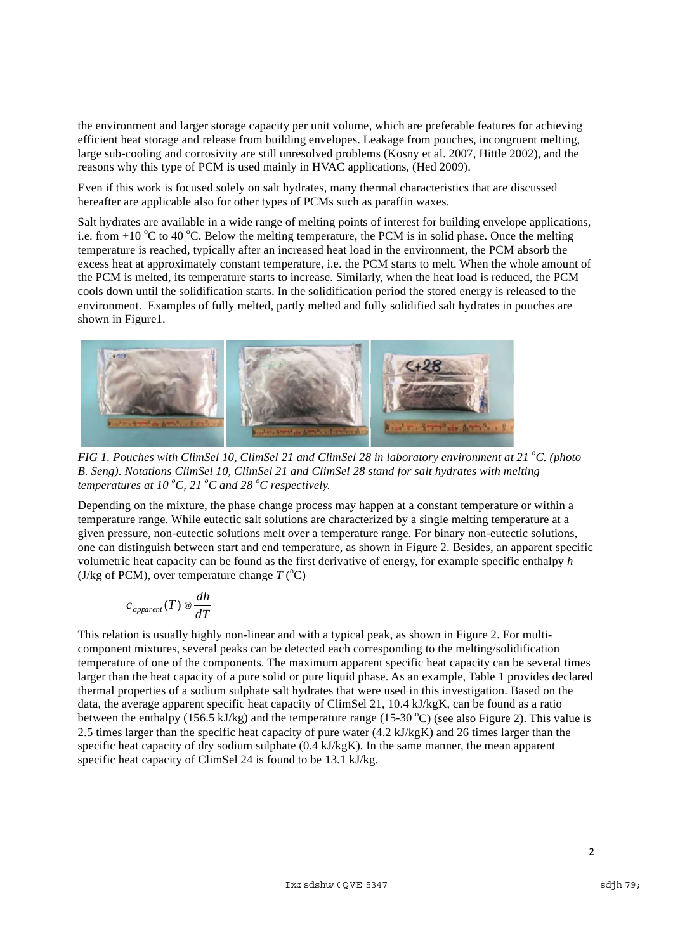the environment and larger storage capacity per unit volume, which are preferable features for achieving efficient heat storage and release from building envelopes. Leakage from pouches, incongruent melting, large sub-cooling and corrosivity are still unresolved problems (Kosny et al. 2007, Hittle 2002), and the reasons why this type of PCM is used mainly in HVAC applications, (Hed 2009).

Even if this work is focused solely on salt hydrates, many thermal characteristics that are discussed hereafter are applicable also for other types of PCMs such as paraffin waxes.

Salt hydrates are available in a wide range of melting points of interest for building envelope applications, i.e. from  $+10\text{ °C}$  to 40  $\text{ °C}$ . Below the melting temperature, the PCM is in solid phase. Once the melting temperature is reached, typically after an increased heat load in the environment, the PCM absorb the excess heat at approximately constant temperature, i.e. the PCM starts to melt. When the whole amount of the PCM is melted, its temperature starts to increase. Similarly, when the heat load is reduced, the PCM cools down until the solidification starts. In the solidification period the stored energy is released to the environment. Examples of fully melted, partly melted and fully solidified salt hydrates in pouches are shown in Figure1.



*FIG 1. Pouches with ClimSel 10, ClimSel 21 and ClimSel 28 in laboratory environment at 21 °C. (photo B. Seng). Notations ClimSel 10, ClimSel 21 and ClimSel 28 stand for salt hydrates with melting temperatures at 10 °C, 21 °C and 28 °C respectively.* 

Depending on the mixture, the phase change process may happen at a constant temperature or within a temperature range. While eutectic salt solutions are characterized by a single melting temperature at a given pressure, non-eutectic solutions melt over a temperature range. For binary non-eutectic solutions, one can distinguish between start and end temperature, as shown in Figure 2. Besides, an apparent specific volumetric heat capacity can be found as the first derivative of energy, for example specific enthalpy *h* (J/kg of PCM), over temperature change  $T$  ( $^{\circ}$ C)

$$
c_{\mathit{apparent}}(T) \otimes \frac{dh}{dT}
$$

This relation is usually highly non-linear and with a typical peak, as shown in Figure 2. For multicomponent mixtures, several peaks can be detected each corresponding to the melting/solidification temperature of one of the components. The maximum apparent specific heat capacity can be several times larger than the heat capacity of a pure solid or pure liquid phase. As an example, Table 1 provides declared thermal properties of a sodium sulphate salt hydrates that were used in this investigation. Based on the data, the average apparent specific heat capacity of ClimSel 21, 10.4 kJ/kgK, can be found as a ratio between the enthalpy (156.5 kJ/kg) and the temperature range (15-30 °C) (see also Figure 2). This value is 2.5 times larger than the specific heat capacity of pure water (4.2 kJ/kgK) and 26 times larger than the specific heat capacity of dry sodium sulphate (0.4 kJ/kgK). In the same manner, the mean apparent specific heat capacity of ClimSel 24 is found to be 13.1 kJ/kg.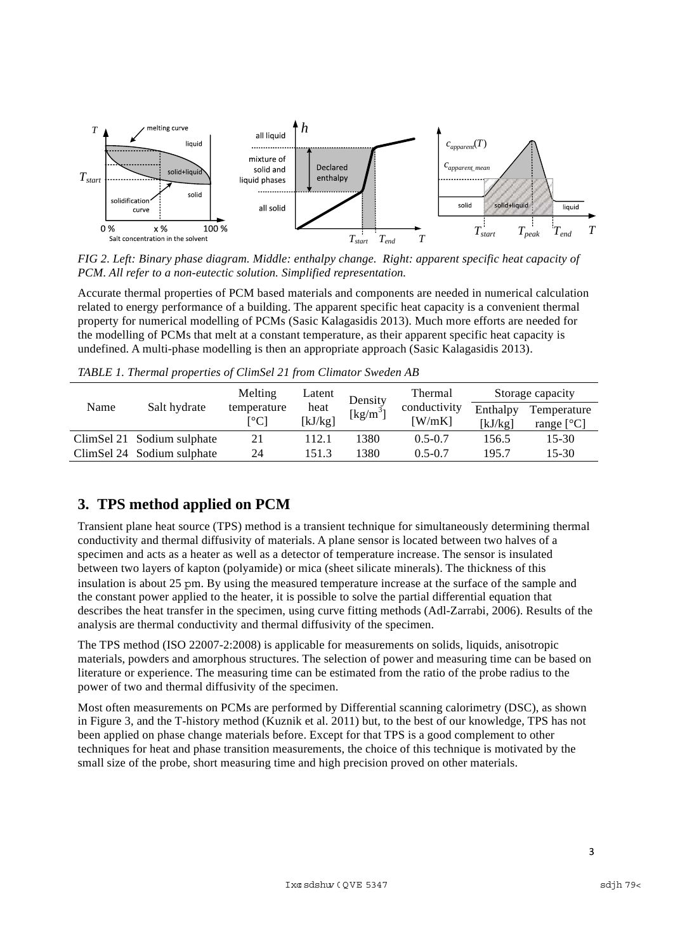

*FIG 2. Left: Binary phase diagram. Middle: enthalpy change. Right: apparent specific heat capacity of PCM. All refer to a non-eutectic solution. Simplified representation.*

Accurate thermal properties of PCM based materials and components are needed in numerical calculation related to energy performance of a building. The apparent specific heat capacity is a convenient thermal property for numerical modelling of PCMs (Sasic Kalagasidis 2013). Much more efforts are needed for the modelling of PCMs that melt at a constant temperature, as their apparent specific heat capacity is undefined. A multi-phase modelling is then an appropriate approach (Sasic Kalagasidis 2013).

| Name | Salt hydrate               | Melting                                  | Latent          | Density<br>$\left[\mathrm{kg/m}^3\right]$ | <b>Thermal</b><br>conductivity<br>$\lceil W/mK \rceil$ | Storage capacity    |                             |
|------|----------------------------|------------------------------------------|-----------------|-------------------------------------------|--------------------------------------------------------|---------------------|-----------------------------|
|      |                            | temperature<br>$\lceil{^{\circ}C}\rceil$ | heat<br>[kJ/kg] |                                           |                                                        | Enthalpy<br>[kJ/kg] | Temperature<br>range $[°C]$ |
|      | ClimSel 21 Sodium sulphate | 21                                       | 112.1           | 1380                                      | $0.5 - 0.7$                                            | 156.5               | 15-30                       |
|      | ClimSel 24 Sodium sulphate | 24                                       | 151.3           | 1380                                      | $0.5 - 0.7$                                            | 195.7               | 15-30                       |

*TABLE 1. Thermal properties of ClimSel 21 from Climator Sweden AB*

# **3. TPS method applied on PCM**

Transient plane heat source (TPS) method is a transient technique for simultaneously determining thermal conductivity and thermal diffusivity of materials. A plane sensor is located between two halves of a specimen and acts as a heater as well as a detector of temperature increase. The sensor is insulated between two layers of kapton (polyamide) or mica (sheet silicate minerals). The thickness of this insulation is about 25 m. By using the measured temperature increase at the surface of the sample and the constant power applied to the heater, it is possible to solve the partial differential equation that describes the heat transfer in the specimen, using curve fitting methods (Adl-Zarrabi, 2006). Results of the analysis are thermal conductivity and thermal diffusivity of the specimen.

The TPS method (ISO 22007-2:2008) is applicable for measurements on solids, liquids, anisotropic materials, powders and amorphous structures. The selection of power and measuring time can be based on literature or experience. The measuring time can be estimated from the ratio of the probe radius to the power of two and thermal diffusivity of the specimen.

Most often measurements on PCMs are performed by Differential scanning calorimetry (DSC), as shown in Figure 3, and the T-history method (Kuznik et al. 2011) but, to the best of our knowledge, TPS has not been applied on phase change materials before. Except for that TPS is a good complement to other techniques for heat and phase transition measurements, the choice of this technique is motivated by the small size of the probe, short measuring time and high precision proved on other materials.

 $\overline{3}$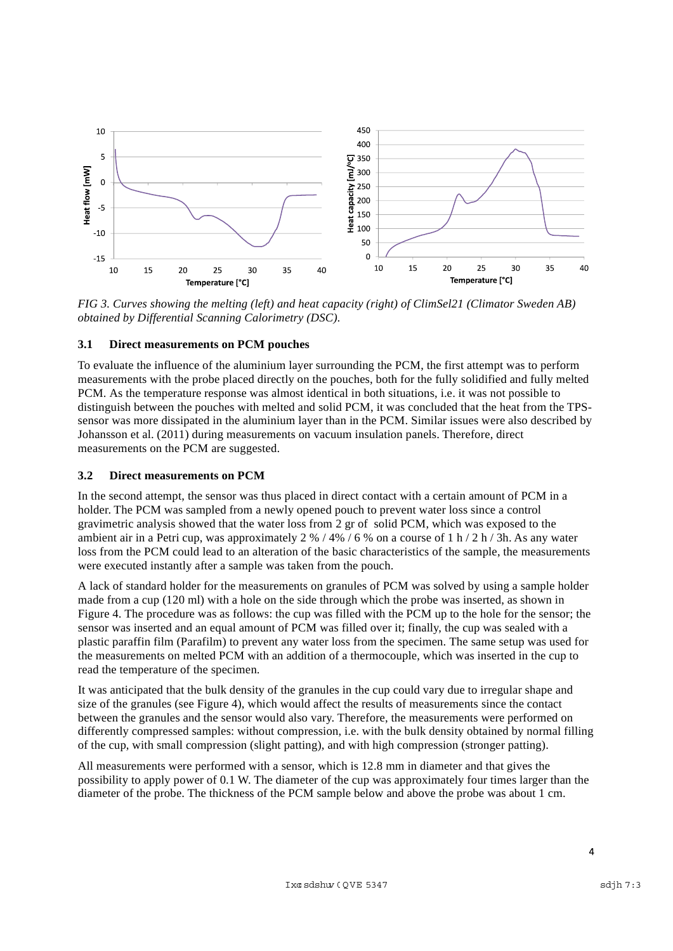

*FIG 3. Curves showing the melting (left) and heat capacity (right) of ClimSel21 (Climator Sweden AB) obtained by Differential Scanning Calorimetry (DSC).* 

#### **3.1 Direct measurements on PCM pouches**

To evaluate the influence of the aluminium layer surrounding the PCM, the first attempt was to perform measurements with the probe placed directly on the pouches, both for the fully solidified and fully melted PCM. As the temperature response was almost identical in both situations, i.e. it was not possible to distinguish between the pouches with melted and solid PCM, it was concluded that the heat from the TPSsensor was more dissipated in the aluminium layer than in the PCM. Similar issues were also described by Johansson et al. (2011) during measurements on vacuum insulation panels. Therefore, direct measurements on the PCM are suggested.

#### **3.2 Direct measurements on PCM**

In the second attempt, the sensor was thus placed in direct contact with a certain amount of PCM in a holder. The PCM was sampled from a newly opened pouch to prevent water loss since a control gravimetric analysis showed that the water loss from 2 gr of solid PCM, which was exposed to the ambient air in a Petri cup, was approximately  $2\frac{96}{4\%}$  / 6 % on a course of 1 h / 2 h / 3h. As any water loss from the PCM could lead to an alteration of the basic characteristics of the sample, the measurements were executed instantly after a sample was taken from the pouch.

A lack of standard holder for the measurements on granules of PCM was solved by using a sample holder made from a cup (120 ml) with a hole on the side through which the probe was inserted, as shown in Figure 4. The procedure was as follows: the cup was filled with the PCM up to the hole for the sensor; the sensor was inserted and an equal amount of PCM was filled over it; finally, the cup was sealed with a plastic paraffin film (Parafilm) to prevent any water loss from the specimen. The same setup was used for the measurements on melted PCM with an addition of a thermocouple, which was inserted in the cup to read the temperature of the specimen.

It was anticipated that the bulk density of the granules in the cup could vary due to irregular shape and size of the granules (see Figure 4), which would affect the results of measurements since the contact between the granules and the sensor would also vary. Therefore, the measurements were performed on differently compressed samples: without compression, i.e. with the bulk density obtained by normal filling of the cup, with small compression (slight patting), and with high compression (stronger patting).

All measurements were performed with a sensor, which is 12.8 mm in diameter and that gives the possibility to apply power of 0.1 W. The diameter of the cup was approximately four times larger than the diameter of the probe. The thickness of the PCM sample below and above the probe was about 1 cm.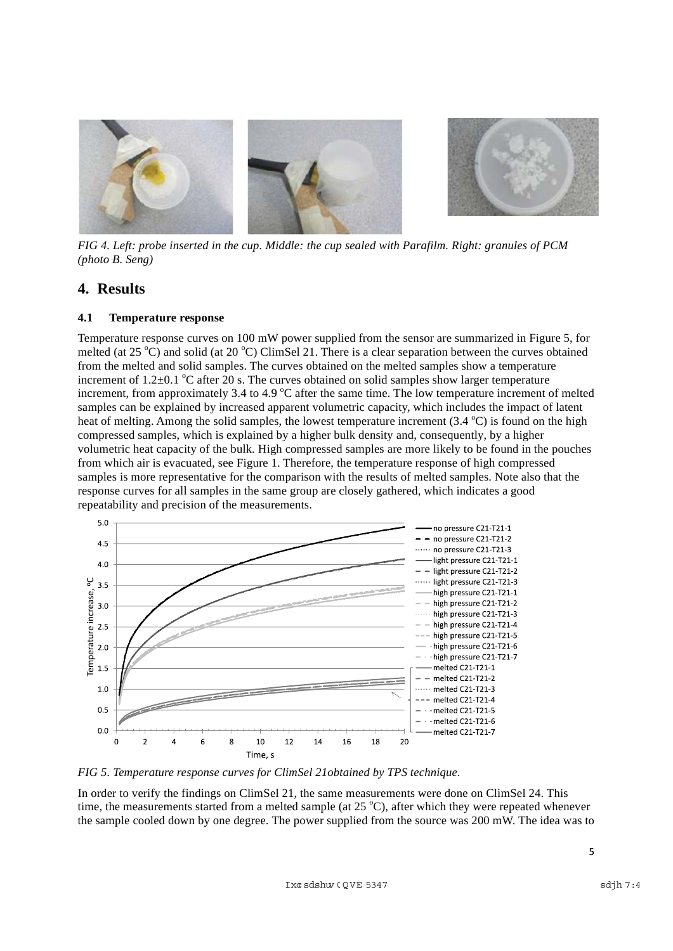

*FIG 4. Left: probe inserted in the cup. Middle: the cup sealed with Parafilm. Right: granules of PCM (photo B. Seng)* 

## **4. Results**

#### **4.1 Temperature response**

Temperature response curves on 100 mW power supplied from the sensor are summarized in Figure 5, for melted (at  $25^{\circ}$ C) and solid (at  $20^{\circ}$ C) ClimSel 21. There is a clear separation between the curves obtained from the melted and solid samples. The curves obtained on the melted samples show a temperature increment of 1.2 $\pm$ 0.1 °C after 20 s. The curves obtained on solid samples show larger temperature increment, from approximately 3.4 to 4.9  $^{\circ}$ C after the same time. The low temperature increment of melted samples can be explained by increased apparent volumetric capacity, which includes the impact of latent heat of melting. Among the solid samples, the lowest temperature increment (3.4 °C) is found on the high compressed samples, which is explained by a higher bulk density and, consequently, by a higher volumetric heat capacity of the bulk. High compressed samples are more likely to be found in the pouches from which air is evacuated, see Figure 1. Therefore, the temperature response of high compressed samples is more representative for the comparison with the results of melted samples. Note also that the response curves for all samples in the same group are closely gathered, which indicates a good repeatability and precision of the measurements.



*FIG 5. Temperature response curves for ClimSel 21obtained by TPS technique.* 

In order to verify the findings on ClimSel 21, the same measurements were done on ClimSel 24. This time, the measurements started from a melted sample (at  $25^{\circ}$ C), after which they were repeated whenever the sample cooled down by one degree. The power supplied from the source was 200 mW. The idea was to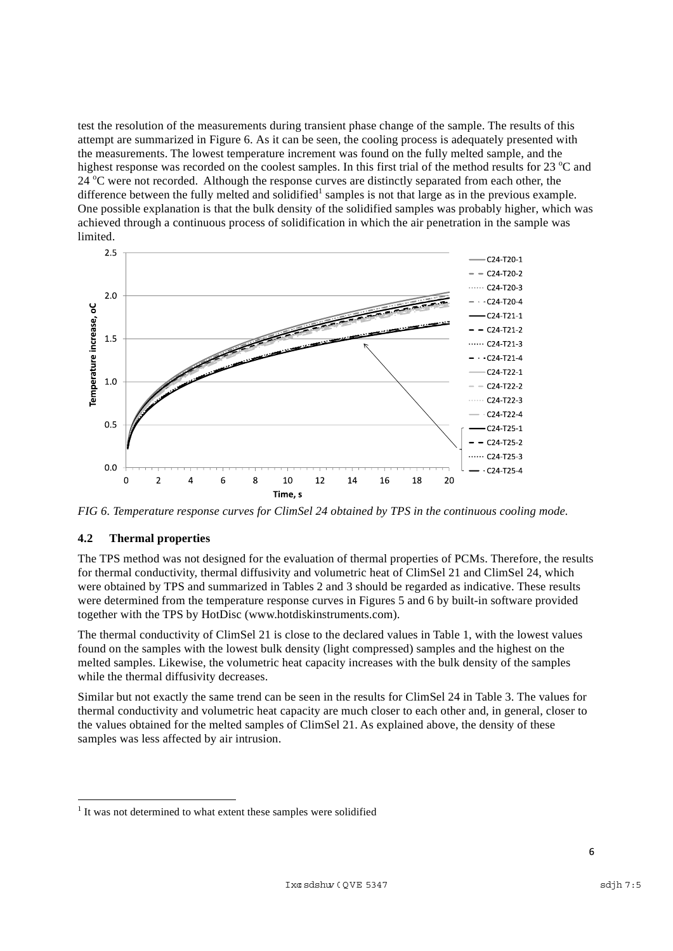test the resolution of the measurements during transient phase change of the sample. The results of this attempt are summarized in Figure 6. As it can be seen, the cooling process is adequately presented with the measurements. The lowest temperature increment was found on the fully melted sample, and the highest response was recorded on the coolest samples. In this first trial of the method results for 23 °C and 24 °C were not recorded. Although the response curves are distinctly separated from each other, the difference between the fully melted and solidified<sup>1</sup> samples is not that large as in the previous example. One possible explanation is that the bulk density of the solidified samples was probably higher, which was achieved through a continuous process of solidification in which the air penetration in the sample was limited.



*FIG 6. Temperature response curves for ClimSel 24 obtained by TPS in the continuous cooling mode.* 

#### **4.2 Thermal properties**

The TPS method was not designed for the evaluation of thermal properties of PCMs. Therefore, the results for thermal conductivity, thermal diffusivity and volumetric heat of ClimSel 21 and ClimSel 24, which were obtained by TPS and summarized in Tables 2 and 3 should be regarded as indicative. These results were determined from the temperature response curves in Figures 5 and 6 by built-in software provided together with the TPS by HotDisc (www.hotdiskinstruments.com).

The thermal conductivity of ClimSel 21 is close to the declared values in Table 1, with the lowest values found on the samples with the lowest bulk density (light compressed) samples and the highest on the melted samples. Likewise, the volumetric heat capacity increases with the bulk density of the samples while the thermal diffusivity decreases.

Similar but not exactly the same trend can be seen in the results for ClimSel 24 in Table 3. The values for thermal conductivity and volumetric heat capacity are much closer to each other and, in general, closer to the values obtained for the melted samples of ClimSel 21. As explained above, the density of these samples was less affected by air intrusion.

 $1$  It was not determined to what extent these samples were solidified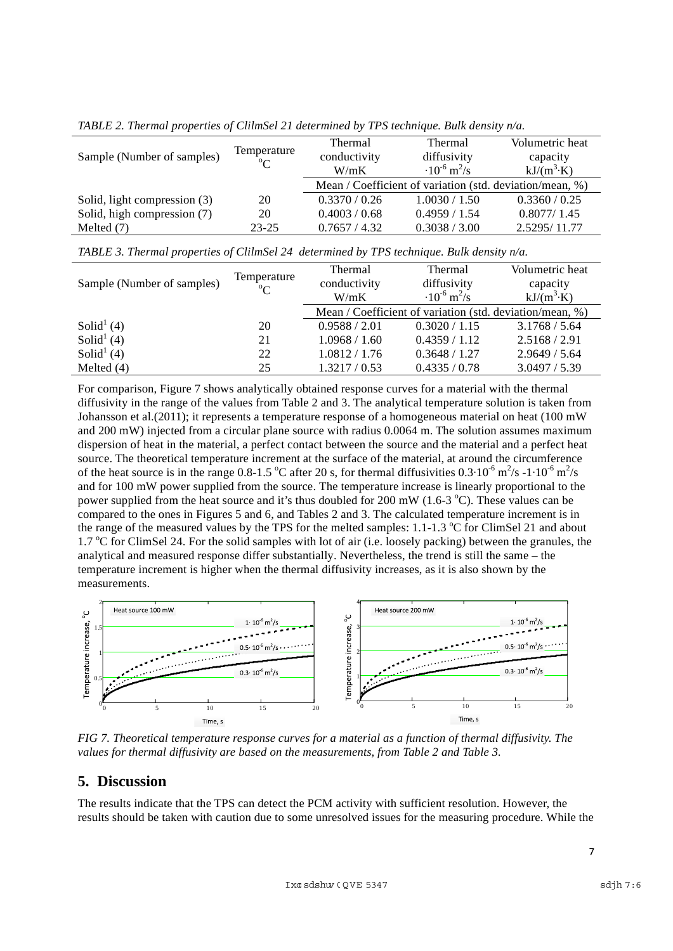|                              | Temperature<br>$\rm ^{o}C$ | <b>Thermal</b>                                           | Thermal                           | Volumetric heat    |
|------------------------------|----------------------------|----------------------------------------------------------|-----------------------------------|--------------------|
| Sample (Number of samples)   |                            | conductivity                                             | diffusivity                       | capacity           |
|                              |                            | W/mK                                                     | $\cdot 10^{-6}$ m <sup>2</sup> /s | $kJ/(m^3 \cdot K)$ |
|                              |                            | Mean / Coefficient of variation (std. deviation/mean, %) |                                   |                    |
| Solid, light compression (3) | 20                         | 0.3370 / 0.26                                            | 1.0030 / 1.50                     | 0.3360 / 0.25      |
| Solid, high compression (7)  | 20                         | 0.4003 / 0.68                                            | 0.4959 / 1.54                     | 0.8077/1.45        |
| Melted $(7)$                 | $23 - 25$                  | 0.7657 / 4.32                                            | 0.3038 / 3.00                     | 2.5295/11.77       |

*TABLE 2. Thermal properties of ClilmSel 21 determined by TPS technique. Bulk density n/a.*

|                            | Temperature<br>$\rm ^{o}C$ | <b>Thermal</b>                                           | Thermal                           | Volumetric heat    |  |
|----------------------------|----------------------------|----------------------------------------------------------|-----------------------------------|--------------------|--|
| Sample (Number of samples) |                            | conductivity                                             | diffusivity                       | capacity           |  |
|                            |                            | W/mK                                                     | $\cdot 10^{-6}$ m <sup>2</sup> /s | $kJ/(m^3 \cdot K)$ |  |
|                            |                            | Mean / Coefficient of variation (std. deviation/mean, %) |                                   |                    |  |
| Solid <sup>1</sup> (4)     | 20                         | 0.9588 / 2.01                                            | 0.3020 / 1.15                     | 3.1768 / 5.64      |  |
| Solid <sup>1</sup> $(4)$   | 21                         | 1.0968 / 1.60                                            | 0.4359 / 1.12                     | 2.5168 / 2.91      |  |
| Solid <sup>1</sup> $(4)$   | 22                         | 1.0812 / 1.76                                            | 0.3648 / 1.27                     | 2.9649 / 5.64      |  |
| Melted $(4)$               | 25                         | 1.3217/0.53                                              | 0.4335 / 0.78                     | 3.0497 / 5.39      |  |

For comparison, Figure 7 shows analytically obtained response curves for a material with the thermal diffusivity in the range of the values from Table 2 and 3. The analytical temperature solution is taken from Johansson et al.(2011); it represents a temperature response of a homogeneous material on heat (100 mW and 200 mW) injected from a circular plane source with radius 0.0064 m. The solution assumes maximum dispersion of heat in the material, a perfect contact between the source and the material and a perfect heat source. The theoretical temperature increment at the surface of the material, at around the circumference of the heat source is in the range 0.8-1.5 °C after 20 s, for thermal diffusivities  $0.3 \cdot 10^{-6}$  m<sup>2</sup>/s -1 $\cdot 10^{-6}$  m<sup>2</sup>/s and for 100 mW power supplied from the source. The temperature increase is linearly proportional to the power supplied from the heat source and it's thus doubled for 200 mW (1.6-3  $^{\circ}$ C). These values can be compared to the ones in Figures 5 and 6, and Tables 2 and 3. The calculated temperature increment is in the range of the measured values by the TPS for the melted samples:  $1.1$ - $1.3$  °C for ClimSel 21 and about 1.7 °C for ClimSel 24. For the solid samples with lot of air (i.e. loosely packing) between the granules, the analytical and measured response differ substantially. Nevertheless, the trend is still the same – the temperature increment is higher when the thermal diffusivity increases, as it is also shown by the measurements.



*FIG 7. Theoretical temperature response curves for a material as a function of thermal diffusivity. The values for thermal diffusivity are based on the measurements, from Table 2 and Table 3.* 

### **5. Discussion**

The results indicate that the TPS can detect the PCM activity with sufficient resolution. However, the results should be taken with caution due to some unresolved issues for the measuring procedure. While the